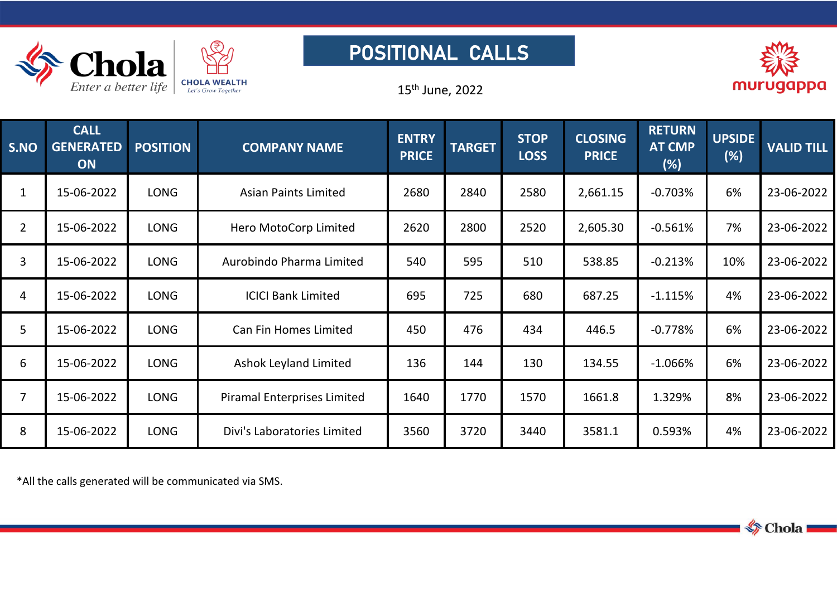

## POSITIONAL CALLS



15 th June, 2022

| $\overline{\mathsf{S}.\mathsf{NO}}$ | <b>CALL</b><br><b>GENERATED</b><br><b>ON</b> | <b>POSITION</b> | <b>COMPANY NAME</b>                | <b>ENTRY</b><br><b>PRICE</b> | <b>TARGET</b> | <b>STOP</b><br><b>LOSS</b> | <b>CLOSING</b><br><b>PRICE</b> | <b>RETURN</b><br><b>AT CMP</b><br>(%) | <b>UPSIDE</b><br>(%) | <b>VALID TILL</b> |
|-------------------------------------|----------------------------------------------|-----------------|------------------------------------|------------------------------|---------------|----------------------------|--------------------------------|---------------------------------------|----------------------|-------------------|
| $\mathbf{1}$                        | 15-06-2022                                   | LONG            | <b>Asian Paints Limited</b>        | 2680                         | 2840          | 2580                       | 2,661.15                       | $-0.703%$                             | 6%                   | 23-06-2022        |
| $\overline{2}$                      | 15-06-2022                                   | LONG            | Hero MotoCorp Limited              | 2620                         | 2800          | 2520                       | 2,605.30                       | $-0.561%$                             | 7%                   | 23-06-2022        |
| $\overline{3}$                      | 15-06-2022                                   | LONG            | Aurobindo Pharma Limited           | 540                          | 595           | 510                        | 538.85                         | $-0.213%$                             | 10%                  | 23-06-2022        |
| $\overline{4}$                      | 15-06-2022                                   | LONG            | <b>ICICI Bank Limited</b>          | 695                          | 725           | 680                        | 687.25                         | $-1.115%$                             | 4%                   | 23-06-2022        |
| 5                                   | 15-06-2022                                   | LONG            | Can Fin Homes Limited              | 450                          | 476           | 434                        | 446.5                          | $-0.778%$                             | 6%                   | 23-06-2022        |
| $6\,$                               | 15-06-2022                                   | LONG            | Ashok Leyland Limited              | 136                          | 144           | 130                        | 134.55                         | $-1.066%$                             | 6%                   | 23-06-2022        |
| $\overline{7}$                      | 15-06-2022                                   | LONG            | <b>Piramal Enterprises Limited</b> | 1640                         | 1770          | 1570                       | 1661.8                         | 1.329%                                | 8%                   | 23-06-2022        |
| 8                                   | 15-06-2022                                   | LONG            | Divi's Laboratories Limited        | 3560                         | 3720          | 3440                       | 3581.1                         | 0.593%                                | 4%                   | 23-06-2022        |

\*All the callsgenerated will be communicated via SMS.